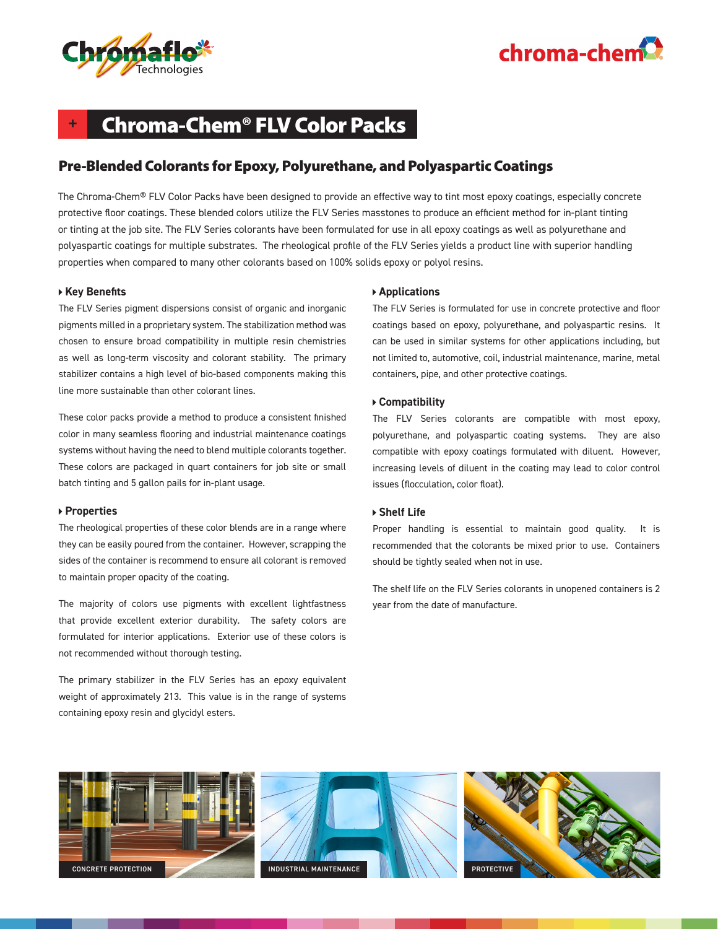



## **+** Chroma-Chem® FLV Color Packs

### Pre-Blended Colorants for Epoxy, Polyurethane, and Polyaspartic Coatings

The Chroma-Chem® FLV Color Packs have been designed to provide an effective way to tint most epoxy coatings, especially concrete protective floor coatings. These blended colors utilize the FLV Series masstones to produce an efficient method for in-plant tinting or tinting at the job site. The FLV Series colorants have been formulated for use in all epoxy coatings as well as polyurethane and polyaspartic coatings for multiple substrates. The rheological profile of the FLV Series yields a product line with superior handling properties when compared to many other colorants based on 100% solids epoxy or polyol resins.

#### **Key Benefits**

The FLV Series pigment dispersions consist of organic and inorganic pigments milled in a proprietary system. The stabilization method was chosen to ensure broad compatibility in multiple resin chemistries as well as long-term viscosity and colorant stability. The primary stabilizer contains a high level of bio-based components making this line more sustainable than other colorant lines.

These color packs provide a method to produce a consistent finished color in many seamless flooring and industrial maintenance coatings systems without having the need to blend multiple colorants together. These colors are packaged in quart containers for job site or small batch tinting and 5 gallon pails for in-plant usage.

#### **Properties**

The rheological properties of these color blends are in a range where they can be easily poured from the container. However, scrapping the sides of the container is recommend to ensure all colorant is removed to maintain proper opacity of the coating.

The majority of colors use pigments with excellent lightfastness that provide excellent exterior durability. The safety colors are formulated for interior applications. Exterior use of these colors is not recommended without thorough testing.

The primary stabilizer in the FLV Series has an epoxy equivalent weight of approximately 213. This value is in the range of systems containing epoxy resin and glycidyl esters.

#### **Applications**

The FLV Series is formulated for use in concrete protective and floor coatings based on epoxy, polyurethane, and polyaspartic resins. It can be used in similar systems for other applications including, but not limited to, automotive, coil, industrial maintenance, marine, metal containers, pipe, and other protective coatings.

#### **Compatibility**

The FLV Series colorants are compatible with most epoxy, polyurethane, and polyaspartic coating systems. They are also compatible with epoxy coatings formulated with diluent. However, increasing levels of diluent in the coating may lead to color control issues (flocculation, color float).

#### **Shelf Life**

Proper handling is essential to maintain good quality. It is recommended that the colorants be mixed prior to use. Containers should be tightly sealed when not in use.

The shelf life on the FLV Series colorants in unopened containers is 2 year from the date of manufacture.